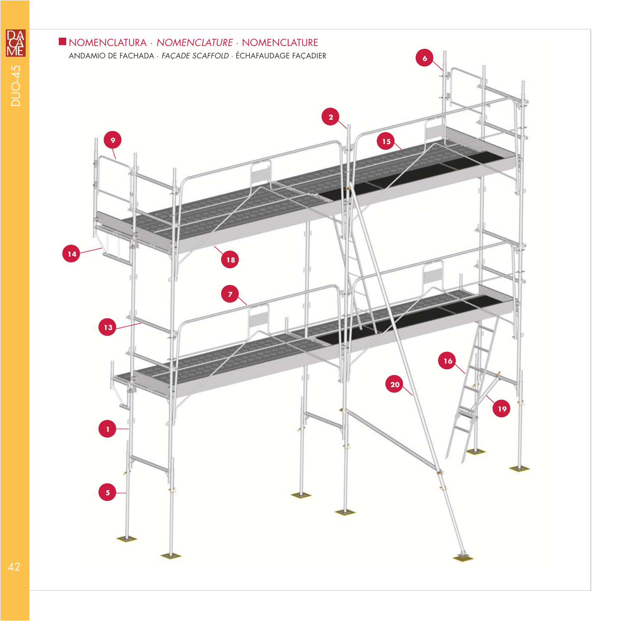

RA 42<br>42